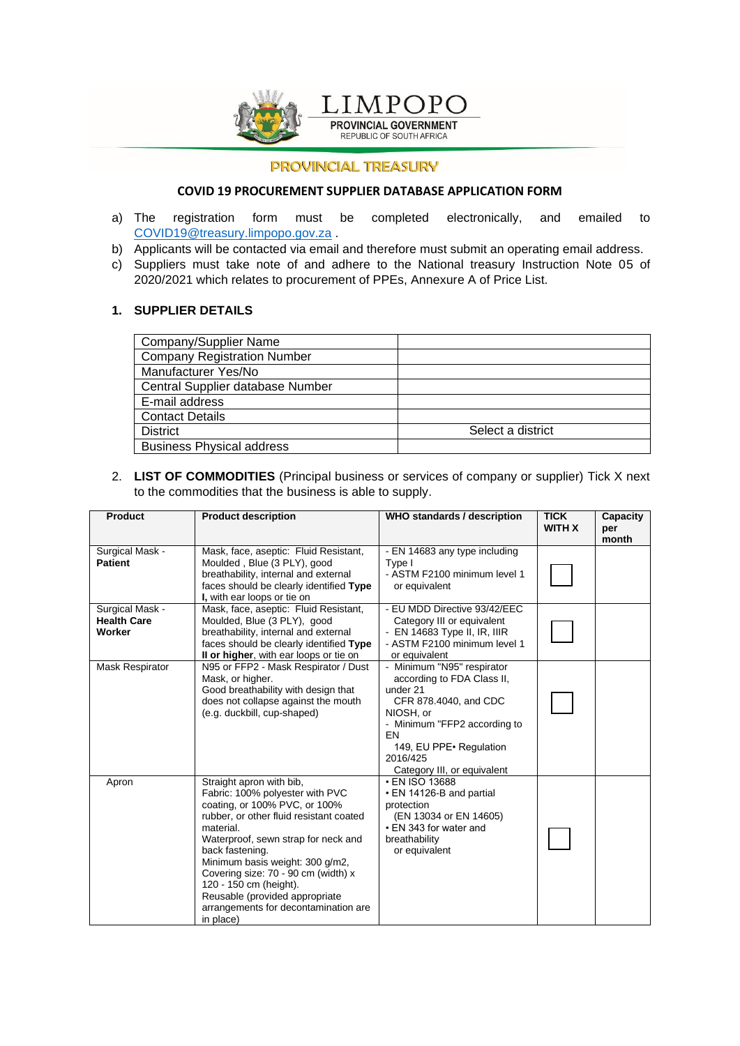

# **PROVINCIAL TREASURY**

#### **COVID 19 PROCUREMENT SUPPLIER DATABASE APPLICATION FORM**

- a) The registration form must be completed electronically, and emailed to [COVID19@treasury.limpopo.gov.za](mailto:COVID19@treasury.limpopo.gov.za) .
- b) Applicants will be contacted via email and therefore must submit an operating email address.
- c) Suppliers must take note of and adhere to the National treasury Instruction Note 05 of 2020/2021 which relates to procurement of PPEs, Annexure A of Price List.

#### **1. SUPPLIER DETAILS**

| Company/Supplier Name              |                   |
|------------------------------------|-------------------|
| <b>Company Registration Number</b> |                   |
| Manufacturer Yes/No                |                   |
| Central Supplier database Number   |                   |
| E-mail address                     |                   |
| <b>Contact Details</b>             |                   |
| <b>District</b>                    | Select a district |
| <b>Business Physical address</b>   |                   |

## 2. **LIST OF COMMODITIES** (Principal business or services of company or supplier) Tick X next to the commodities that the business is able to supply.

| <b>Product</b>                                  | <b>Product description</b>                                                                                                                                                                                                                                                                                                                                                                                | <b>WHO standards / description</b>                                                                                                                                                                                      | <b>TICK</b><br><b>WITH X</b> | Capacity<br>per<br>month |
|-------------------------------------------------|-----------------------------------------------------------------------------------------------------------------------------------------------------------------------------------------------------------------------------------------------------------------------------------------------------------------------------------------------------------------------------------------------------------|-------------------------------------------------------------------------------------------------------------------------------------------------------------------------------------------------------------------------|------------------------------|--------------------------|
| Surgical Mask -<br><b>Patient</b>               | Mask, face, aseptic: Fluid Resistant,<br>Moulded, Blue (3 PLY), good<br>breathability, internal and external<br>faces should be clearly identified Type<br>I, with ear loops or tie on                                                                                                                                                                                                                    | - EN 14683 any type including<br>Type I<br>- ASTM F2100 minimum level 1<br>or equivalent                                                                                                                                |                              |                          |
| Surgical Mask -<br><b>Health Care</b><br>Worker | Mask, face, aseptic: Fluid Resistant,<br>Moulded, Blue (3 PLY), good<br>breathability, internal and external<br>faces should be clearly identified Type<br>Il or higher, with ear loops or tie on                                                                                                                                                                                                         | - EU MDD Directive 93/42/EEC<br>Category III or equivalent<br>- $EN$ 14683 Type II, IR, IIIR<br>- ASTM F2100 minimum level 1<br>or equivalent                                                                           |                              |                          |
| Mask Respirator                                 | N95 or FFP2 - Mask Respirator / Dust<br>Mask, or higher.<br>Good breathability with design that<br>does not collapse against the mouth<br>(e.g. duckbill, cup-shaped)                                                                                                                                                                                                                                     | - Minimum "N95" respirator<br>according to FDA Class II,<br>under 21<br>CFR 878.4040, and CDC<br>NIOSH, or<br>- Minimum "FFP2 according to<br>EN<br>149, EU PPE · Regulation<br>2016/425<br>Category III, or equivalent |                              |                          |
| Apron                                           | Straight apron with bib,<br>Fabric: 100% polyester with PVC<br>coating, or 100% PVC, or 100%<br>rubber, or other fluid resistant coated<br>material.<br>Waterproof, sewn strap for neck and<br>back fastening.<br>Minimum basis weight: 300 g/m2,<br>Covering size: 70 - 90 cm (width) x<br>120 - 150 cm (height).<br>Reusable (provided appropriate<br>arrangements for decontamination are<br>in place) | • EN ISO 13688<br>• EN 14126-B and partial<br>protection<br>(EN 13034 or EN 14605)<br>• EN 343 for water and<br>breathability<br>or equivalent                                                                          |                              |                          |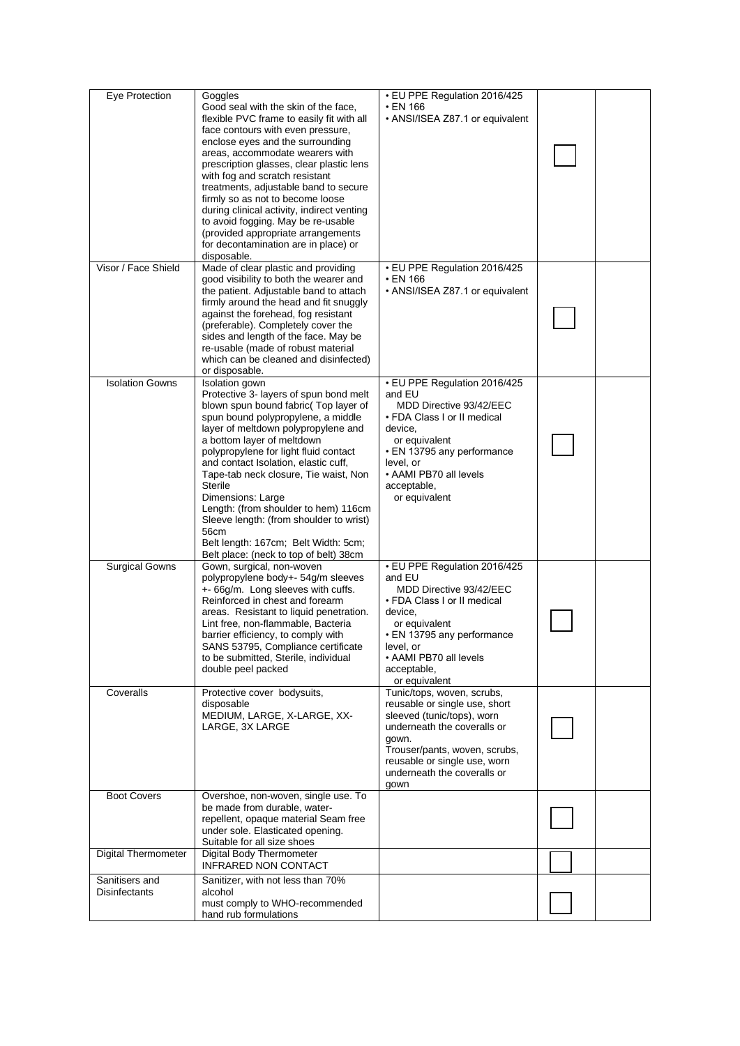| Eye Protection                         | Goggles<br>Good seal with the skin of the face,<br>flexible PVC frame to easily fit with all<br>face contours with even pressure,<br>enclose eyes and the surrounding<br>areas, accommodate wearers with<br>prescription glasses, clear plastic lens<br>with fog and scratch resistant<br>treatments, adjustable band to secure<br>firmly so as not to become loose<br>during clinical activity, indirect venting<br>to avoid fogging. May be re-usable<br>(provided appropriate arrangements<br>for decontamination are in place) or<br>disposable. | • EU PPE Regulation 2016/425<br>• EN 166<br>• ANSI/ISEA Z87.1 or equivalent                                                                                                                                                               |  |
|----------------------------------------|------------------------------------------------------------------------------------------------------------------------------------------------------------------------------------------------------------------------------------------------------------------------------------------------------------------------------------------------------------------------------------------------------------------------------------------------------------------------------------------------------------------------------------------------------|-------------------------------------------------------------------------------------------------------------------------------------------------------------------------------------------------------------------------------------------|--|
| Visor / Face Shield                    | Made of clear plastic and providing<br>good visibility to both the wearer and<br>the patient. Adjustable band to attach<br>firmly around the head and fit snuggly<br>against the forehead, fog resistant<br>(preferable). Completely cover the<br>sides and length of the face. May be<br>re-usable (made of robust material<br>which can be cleaned and disinfected)<br>or disposable.                                                                                                                                                              | • EU PPE Regulation 2016/425<br>• EN 166<br>• ANSI/ISEA Z87.1 or equivalent                                                                                                                                                               |  |
| <b>Isolation Gowns</b>                 | Isolation gown<br>Protective 3- layers of spun bond melt<br>blown spun bound fabric( Top layer of<br>spun bound polypropylene, a middle<br>layer of meltdown polypropylene and<br>a bottom layer of meltdown<br>polypropylene for light fluid contact<br>and contact Isolation, elastic cuff,<br>Tape-tab neck closure, Tie waist, Non<br>Sterile<br>Dimensions: Large<br>Length: (from shoulder to hem) 116cm<br>Sleeve length: (from shoulder to wrist)<br>56cm<br>Belt length: 167cm; Belt Width: 5cm;<br>Belt place: (neck to top of belt) 38cm  | • EU PPE Regulation 2016/425<br>and EU<br>MDD Directive 93/42/EEC<br>• FDA Class I or II medical<br>device.<br>or equivalent<br>• EN 13795 any performance<br>level, or<br>• AAMI PB70 all levels<br>acceptable,<br>or equivalent         |  |
| <b>Surgical Gowns</b>                  | Gown, surgical, non-woven<br>polypropylene body+- 54g/m sleeves<br>+- 66g/m. Long sleeves with cuffs.<br>Reinforced in chest and forearm<br>areas. Resistant to liquid penetration.<br>Lint free, non-flammable, Bacteria<br>barrier efficiency, to comply with<br>SANS 53795, Compliance certificate<br>to be submitted, Sterile, individual<br>double peel packed                                                                                                                                                                                  | • EU PPE Regulation 2016/425<br>and EU<br>MDD Directive 93/42/EEC<br>• FDA Class I or II medical<br>device,<br>or equivalent<br>• EN 13795 any performance<br>level, or<br>• AAMI PB70 all levels<br>acceptable,<br>or equivalent         |  |
| Coveralls                              | Protective cover bodysuits,<br>disposable<br>MEDIUM, LARGE, X-LARGE, XX-<br>LARGE, 3X LARGE                                                                                                                                                                                                                                                                                                                                                                                                                                                          | Tunic/tops, woven, scrubs,<br>reusable or single use, short<br>sleeved (tunic/tops), worn<br>underneath the coveralls or<br>gown.<br>Trouser/pants, woven, scrubs,<br>reusable or single use, worn<br>underneath the coveralls or<br>gown |  |
| <b>Boot Covers</b>                     | Overshoe, non-woven, single use. To<br>be made from durable, water-<br>repellent, opaque material Seam free<br>under sole. Elasticated opening.<br>Suitable for all size shoes                                                                                                                                                                                                                                                                                                                                                                       |                                                                                                                                                                                                                                           |  |
| <b>Digital Thermometer</b>             | Digital Body Thermometer<br><b>INFRARED NON CONTACT</b>                                                                                                                                                                                                                                                                                                                                                                                                                                                                                              |                                                                                                                                                                                                                                           |  |
| Sanitisers and<br><b>Disinfectants</b> | Sanitizer, with not less than 70%<br>alcohol<br>must comply to WHO-recommended<br>hand rub formulations                                                                                                                                                                                                                                                                                                                                                                                                                                              |                                                                                                                                                                                                                                           |  |